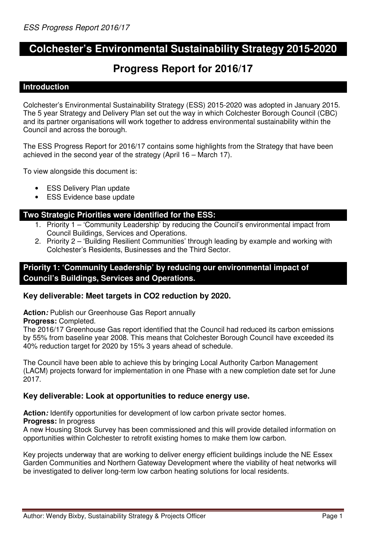# **Colchester's Environmental Sustainability Strategy 2015-2020**

# **Progress Report for 2016/17**

### **Introduction**

Colchester's Environmental Sustainability Strategy (ESS) 2015-2020 was adopted in January 2015. The 5 year Strategy and Delivery Plan set out the way in which Colchester Borough Council (CBC) and its partner organisations will work together to address environmental sustainability within the Council and across the borough.

The ESS Progress Report for 2016/17 contains some highlights from the Strategy that have been achieved in the second year of the strategy (April 16 – March 17).

To view alongside this document is:

- **ESS Delivery Plan update**
- **ESS Evidence base update**

## **Two Strategic Priorities were identified for the ESS:**

- 1. Priority 1 'Community Leadership' by reducing the Council's environmental impact from Council Buildings, Services and Operations.
- 2. Priority 2 'Building Resilient Communities' through leading by example and working with Colchester's Residents, Businesses and the Third Sector.

## **Priority 1: 'Community Leadership' by reducing our environmental impact of Council's Buildings, Services and Operations.**

### **Key deliverable: Meet targets in CO2 reduction by 2020.**

Action: Publish our Greenhouse Gas Report annually

**Progress:** Completed.

The 2016/17 Greenhouse Gas report identified that the Council had reduced its carbon emissions by 55% from baseline year 2008. This means that Colchester Borough Council have exceeded its 40% reduction target for 2020 by 15% 3 years ahead of schedule.

The Council have been able to achieve this by bringing Local Authority Carbon Management (LACM) projects forward for implementation in one Phase with a new completion date set for June 2017.

### **Key deliverable: Look at opportunities to reduce energy use.**

Action: Identify opportunities for development of low carbon private sector homes.

**Progress:** In progress

A new Housing Stock Survey has been commissioned and this will provide detailed information on opportunities within Colchester to retrofit existing homes to make them low carbon.

Key projects underway that are working to deliver energy efficient buildings include the NE Essex Garden Communities and Northern Gateway Development where the viability of heat networks will be investigated to deliver long-term low carbon heating solutions for local residents.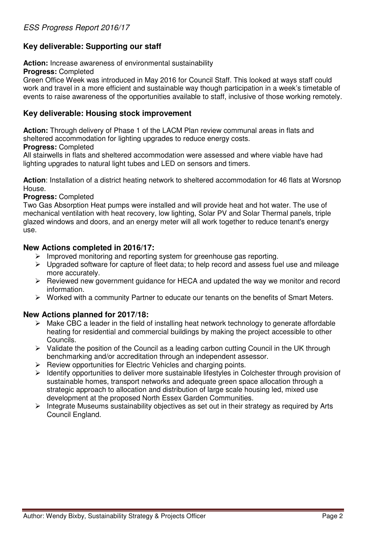# **Key deliverable: Supporting our staff**

**Action:** Increase awareness of environmental sustainability

**Progress:** Completed

Green Office Week was introduced in May 2016 for Council Staff. This looked at ways staff could work and travel in a more efficient and sustainable way though participation in a week's timetable of events to raise awareness of the opportunities available to staff, inclusive of those working remotely.

## **Key deliverable: Housing stock improvement**

**Action:** Through delivery of Phase 1 of the LACM Plan review communal areas in flats and sheltered accommodation for lighting upgrades to reduce energy costs.

#### **Progress:** Completed

All stairwells in flats and sheltered accommodation were assessed and where viable have had lighting upgrades to natural light tubes and LED on sensors and timers.

**Action**: Installation of a district heating network to sheltered accommodation for 46 flats at Worsnop House.

### **Progress:** Completed

Two Gas Absorption Heat pumps were installed and will provide heat and hot water. The use of mechanical ventilation with heat recovery, low lighting, Solar PV and Solar Thermal panels, triple glazed windows and doors, and an energy meter will all work together to reduce tenant's energy use.

### **New Actions completed in 2016/17:**

- $\triangleright$  Improved monitoring and reporting system for greenhouse gas reporting.
- $\triangleright$  Upgraded software for capture of fleet data; to help record and assess fuel use and mileage more accurately.
- $\triangleright$  Reviewed new government guidance for HECA and updated the way we monitor and record information.
- $\triangleright$  Worked with a community Partner to educate our tenants on the benefits of Smart Meters.

## **New Actions planned for 2017/18:**

- $\triangleright$  Make CBC a leader in the field of installing heat network technology to generate affordable heating for residential and commercial buildings by making the project accessible to other Councils.
- $\triangleright$  Validate the position of the Council as a leading carbon cutting Council in the UK through benchmarking and/or accreditation through an independent assessor.
- $\triangleright$  Review opportunities for Electric Vehicles and charging points.
- $\triangleright$  Identify opportunities to deliver more sustainable lifestyles in Colchester through provision of sustainable homes, transport networks and adequate green space allocation through a strategic approach to allocation and distribution of large scale housing led, mixed use development at the proposed North Essex Garden Communities.
- $\triangleright$  Integrate Museums sustainability objectives as set out in their strategy as required by Arts Council England.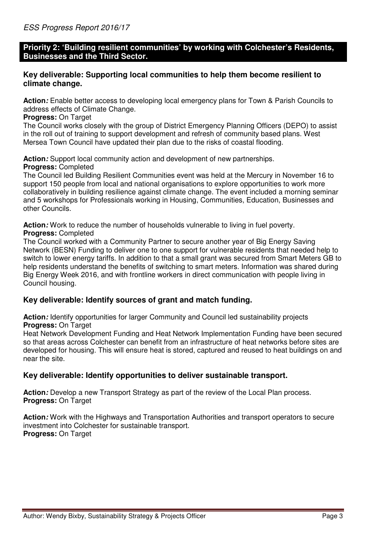## **Priority 2: 'Building resilient communities' by working with Colchester's Residents, Businesses and the Third Sector.**

## **Key deliverable: Supporting local communities to help them become resilient to climate change.**

**Action:** Enable better access to developing local emergency plans for Town & Parish Councils to address effects of Climate Change.

#### **Progress:** On Target

The Council works closely with the group of District Emergency Planning Officers (DEPO) to assist in the roll out of training to support development and refresh of community based plans. West Mersea Town Council have updated their plan due to the risks of coastal flooding.

**Action:** Support local community action and development of new partnerships.

#### **Progress:** Completed

The Council led Building Resilient Communities event was held at the Mercury in November 16 to support 150 people from local and national organisations to explore opportunities to work more collaboratively in building resilience against climate change. The event included a morning seminar and 5 workshops for Professionals working in Housing, Communities, Education, Businesses and other Councils.

**Action:** Work to reduce the number of households vulnerable to living in fuel poverty.

## **Progress:** Completed

The Council worked with a Community Partner to secure another year of Big Energy Saving Network (BESN) Funding to deliver one to one support for vulnerable residents that needed help to switch to lower energy tariffs. In addition to that a small grant was secured from Smart Meters GB to help residents understand the benefits of switching to smart meters. Information was shared during Big Energy Week 2016, and with frontline workers in direct communication with people living in Council housing.

### **Key deliverable: Identify sources of grant and match funding.**

Action: Identify opportunities for larger Community and Council led sustainability projects **Progress:** On Target

Heat Network Development Funding and Heat Network Implementation Funding have been secured so that areas across Colchester can benefit from an infrastructure of heat networks before sites are developed for housing. This will ensure heat is stored, captured and reused to heat buildings on and near the site.

## **Key deliverable: Identify opportunities to deliver sustainable transport.**

Action: Develop a new Transport Strategy as part of the review of the Local Plan process. **Progress:** On Target

**Action:** Work with the Highways and Transportation Authorities and transport operators to secure investment into Colchester for sustainable transport. **Progress:** On Target